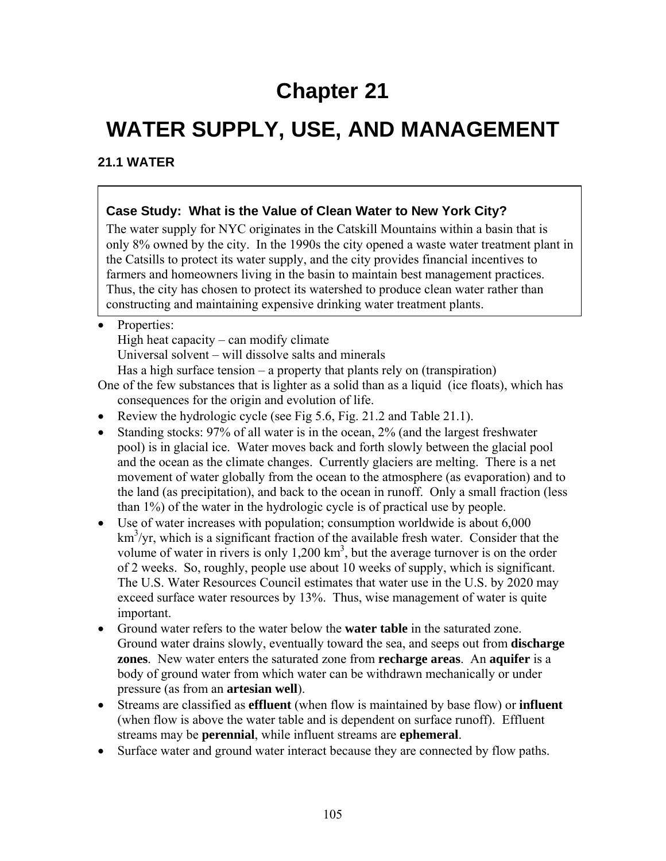# **Chapter 21**

# **WATER SUPPLY, USE, AND MANAGEMENT**

**21.1 WATER** 

## **Case Study: What is the Value of Clean Water to New York City?**

The water supply for NYC originates in the Catskill Mountains within a basin that is only 8% owned by the city. In the 1990s the city opened a waste water treatment plant in the Catsills to protect its water supply, and the city provides financial incentives to farmers and homeowners living in the basin to maintain best management practices. Thus, the city has chosen to protect its watershed to produce clean water rather than constructing and maintaining expensive drinking water treatment plants.

#### Properties:

High heat capacity – can modify climate

Universal solvent – will dissolve salts and minerals

Has a high surface tension – a property that plants rely on (transpiration)

One of the few substances that is lighter as a solid than as a liquid (ice floats), which has consequences for the origin and evolution of life.

- Review the hydrologic cycle (see Fig 5.6, Fig. 21.2 and Table 21.1).
- Standing stocks: 97% of all water is in the ocean, 2% (and the largest freshwater pool) is in glacial ice. Water moves back and forth slowly between the glacial pool and the ocean as the climate changes. Currently glaciers are melting. There is a net movement of water globally from the ocean to the atmosphere (as evaporation) and to the land (as precipitation), and back to the ocean in runoff. Only a small fraction (less than 1%) of the water in the hydrologic cycle is of practical use by people.
- Use of water increases with population; consumption worldwide is about 6,000  $km<sup>3</sup>/yr$ , which is a significant fraction of the available fresh water. Consider that the volume of water in rivers is only  $1,200 \text{ km}^3$ , but the average turnover is on the order of 2 weeks. So, roughly, people use about 10 weeks of supply, which is significant. The U.S. Water Resources Council estimates that water use in the U.S. by 2020 may exceed surface water resources by 13%. Thus, wise management of water is quite important.
- Ground water refers to the water below the **water table** in the saturated zone. Ground water drains slowly, eventually toward the sea, and seeps out from **discharge zones**. New water enters the saturated zone from **recharge areas**. An **aquifer** is a body of ground water from which water can be withdrawn mechanically or under pressure (as from an **artesian well**).
- Streams are classified as **effluent** (when flow is maintained by base flow) or **influent**  (when flow is above the water table and is dependent on surface runoff). Effluent streams may be **perennial**, while influent streams are **ephemeral**.
- Surface water and ground water interact because they are connected by flow paths.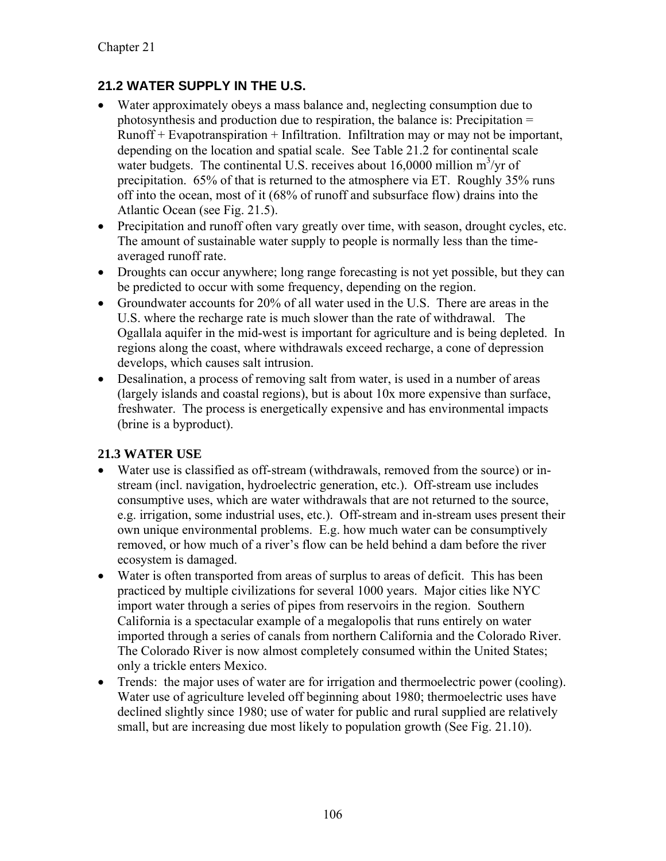# **21.2 WATER SUPPLY IN THE U.S.**

- Water approximately obeys a mass balance and, neglecting consumption due to photosynthesis and production due to respiration, the balance is: Precipitation = Runoff + Evapotranspiration + Infiltration. Infiltration may or may not be important, depending on the location and spatial scale. See Table 21.2 for continental scale water budgets. The continental U.S. receives about 16,0000 million  $m^3$ /yr of precipitation. 65% of that is returned to the atmosphere via ET. Roughly 35% runs off into the ocean, most of it (68% of runoff and subsurface flow) drains into the Atlantic Ocean (see Fig. 21.5).
- Precipitation and runoff often vary greatly over time, with season, drought cycles, etc. The amount of sustainable water supply to people is normally less than the timeaveraged runoff rate.
- Droughts can occur anywhere; long range forecasting is not yet possible, but they can be predicted to occur with some frequency, depending on the region.
- Groundwater accounts for 20% of all water used in the U.S. There are areas in the U.S. where the recharge rate is much slower than the rate of withdrawal. The Ogallala aquifer in the mid-west is important for agriculture and is being depleted. In regions along the coast, where withdrawals exceed recharge, a cone of depression develops, which causes salt intrusion.
- Desalination, a process of removing salt from water, is used in a number of areas (largely islands and coastal regions), but is about 10x more expensive than surface, freshwater. The process is energetically expensive and has environmental impacts (brine is a byproduct).

### **21.3 WATER USE**

- Water use is classified as off-stream (withdrawals, removed from the source) or instream (incl. navigation, hydroelectric generation, etc.). Off-stream use includes consumptive uses, which are water withdrawals that are not returned to the source, e.g. irrigation, some industrial uses, etc.). Off-stream and in-stream uses present their own unique environmental problems. E.g. how much water can be consumptively removed, or how much of a river's flow can be held behind a dam before the river ecosystem is damaged.
- Water is often transported from areas of surplus to areas of deficit. This has been practiced by multiple civilizations for several 1000 years. Major cities like NYC import water through a series of pipes from reservoirs in the region. Southern California is a spectacular example of a megalopolis that runs entirely on water imported through a series of canals from northern California and the Colorado River. The Colorado River is now almost completely consumed within the United States; only a trickle enters Mexico.
- Trends: the major uses of water are for irrigation and thermoelectric power (cooling). Water use of agriculture leveled off beginning about 1980; thermoelectric uses have declined slightly since 1980; use of water for public and rural supplied are relatively small, but are increasing due most likely to population growth (See Fig. 21.10).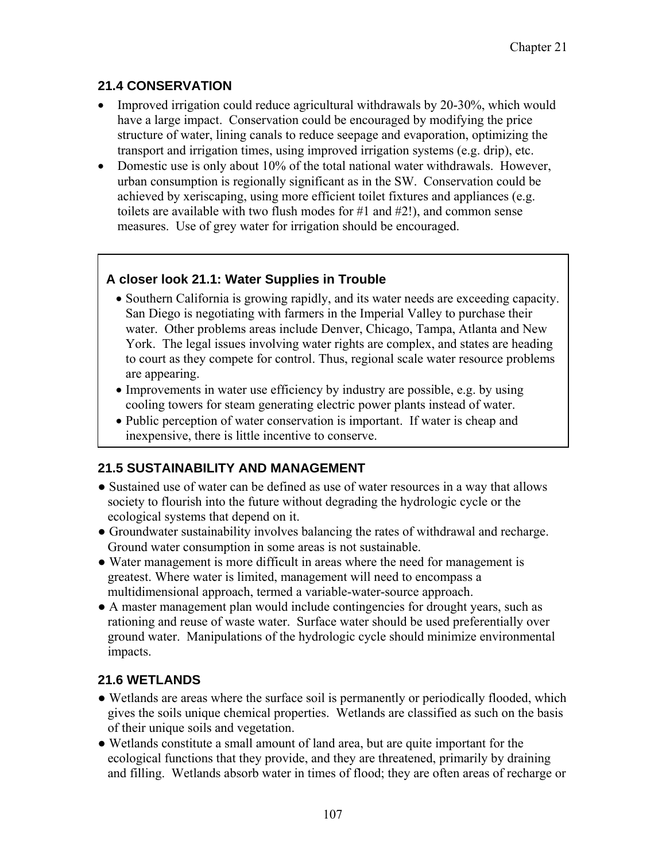# **21.4 CONSERVATION**

- Improved irrigation could reduce agricultural withdrawals by 20-30%, which would have a large impact. Conservation could be encouraged by modifying the price structure of water, lining canals to reduce seepage and evaporation, optimizing the transport and irrigation times, using improved irrigation systems (e.g. drip), etc.
- Domestic use is only about 10% of the total national water withdrawals. However, urban consumption is regionally significant as in the SW. Conservation could be achieved by xeriscaping, using more efficient toilet fixtures and appliances (e.g. toilets are available with two flush modes for #1 and #2!), and common sense measures. Use of grey water for irrigation should be encouraged.

## **A closer look 21.1: Water Supplies in Trouble**

- Southern California is growing rapidly, and its water needs are exceeding capacity. San Diego is negotiating with farmers in the Imperial Valley to purchase their water. Other problems areas include Denver, Chicago, Tampa, Atlanta and New York. The legal issues involving water rights are complex, and states are heading to court as they compete for control. Thus, regional scale water resource problems are appearing.
- Improvements in water use efficiency by industry are possible, e.g. by using cooling towers for steam generating electric power plants instead of water.
- Public perception of water conservation is important. If water is cheap and inexpensive, there is little incentive to conserve.

## **21.5 SUSTAINABILITY AND MANAGEMENT**

- Sustained use of water can be defined as use of water resources in a way that allows society to flourish into the future without degrading the hydrologic cycle or the ecological systems that depend on it.
- Groundwater sustainability involves balancing the rates of withdrawal and recharge. Ground water consumption in some areas is not sustainable.
- Water management is more difficult in areas where the need for management is greatest. Where water is limited, management will need to encompass a multidimensional approach, termed a variable-water-source approach.
- A master management plan would include contingencies for drought years, such as rationing and reuse of waste water. Surface water should be used preferentially over ground water. Manipulations of the hydrologic cycle should minimize environmental impacts.

### **21.6 WETLANDS**

- Wetlands are areas where the surface soil is permanently or periodically flooded, which gives the soils unique chemical properties. Wetlands are classified as such on the basis of their unique soils and vegetation.
- Wetlands constitute a small amount of land area, but are quite important for the ecological functions that they provide, and they are threatened, primarily by draining and filling. Wetlands absorb water in times of flood; they are often areas of recharge or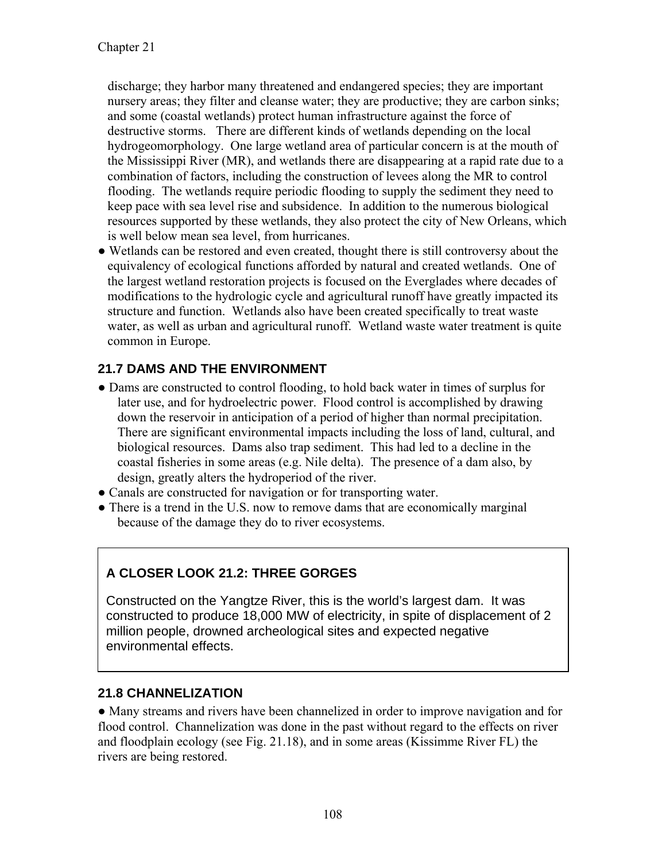discharge; they harbor many threatened and endangered species; they are important nursery areas; they filter and cleanse water; they are productive; they are carbon sinks; and some (coastal wetlands) protect human infrastructure against the force of destructive storms. There are different kinds of wetlands depending on the local hydrogeomorphology. One large wetland area of particular concern is at the mouth of the Mississippi River (MR), and wetlands there are disappearing at a rapid rate due to a combination of factors, including the construction of levees along the MR to control flooding. The wetlands require periodic flooding to supply the sediment they need to keep pace with sea level rise and subsidence. In addition to the numerous biological resources supported by these wetlands, they also protect the city of New Orleans, which is well below mean sea level, from hurricanes.

● Wetlands can be restored and even created, thought there is still controversy about the equivalency of ecological functions afforded by natural and created wetlands. One of the largest wetland restoration projects is focused on the Everglades where decades of modifications to the hydrologic cycle and agricultural runoff have greatly impacted its structure and function. Wetlands also have been created specifically to treat waste water, as well as urban and agricultural runoff. Wetland waste water treatment is quite common in Europe.

## **21.7 DAMS AND THE ENVIRONMENT**

- Dams are constructed to control flooding, to hold back water in times of surplus for later use, and for hydroelectric power. Flood control is accomplished by drawing down the reservoir in anticipation of a period of higher than normal precipitation. There are significant environmental impacts including the loss of land, cultural, and biological resources. Dams also trap sediment. This had led to a decline in the coastal fisheries in some areas (e.g. Nile delta). The presence of a dam also, by design, greatly alters the hydroperiod of the river.
- Canals are constructed for navigation or for transporting water.
- There is a trend in the U.S. now to remove dams that are economically marginal because of the damage they do to river ecosystems.

## **A CLOSER LOOK 21.2: THREE GORGES**

Constructed on the Yangtze River, this is the world's largest dam. It was constructed to produce 18,000 MW of electricity, in spite of displacement of 2 million people, drowned archeological sites and expected negative environmental effects.

### **21.8 CHANNELIZATION**

● Many streams and rivers have been channelized in order to improve navigation and for flood control. Channelization was done in the past without regard to the effects on river and floodplain ecology (see Fig. 21.18), and in some areas (Kissimme River FL) the rivers are being restored.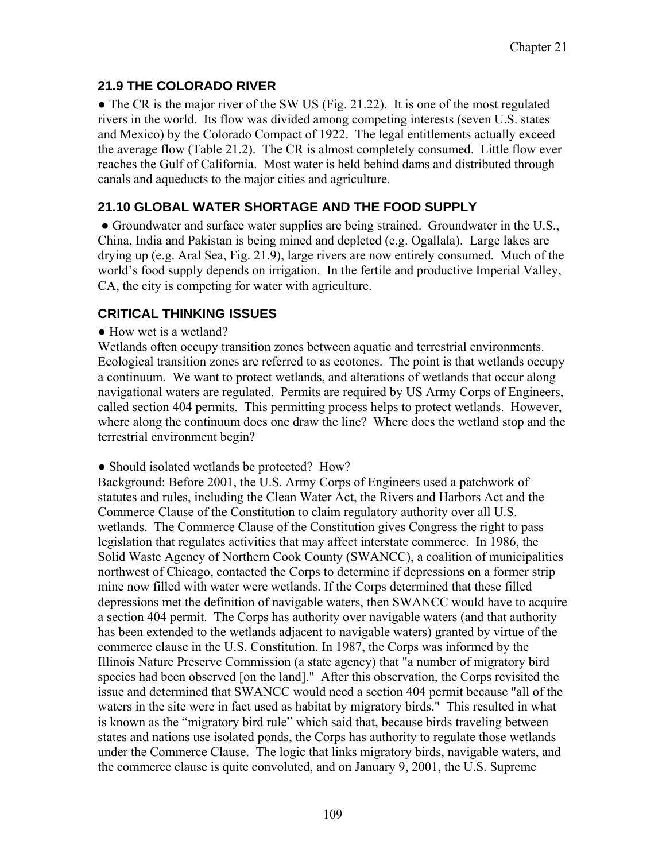### **21.9 THE COLORADO RIVER**

• The CR is the major river of the SW US (Fig. 21.22). It is one of the most regulated rivers in the world. Its flow was divided among competing interests (seven U.S. states and Mexico) by the Colorado Compact of 1922. The legal entitlements actually exceed the average flow (Table 21.2). The CR is almost completely consumed. Little flow ever reaches the Gulf of California. Most water is held behind dams and distributed through canals and aqueducts to the major cities and agriculture.

### **21.10 GLOBAL WATER SHORTAGE AND THE FOOD SUPPLY**

● Groundwater and surface water supplies are being strained. Groundwater in the U.S., China, India and Pakistan is being mined and depleted (e.g. Ogallala). Large lakes are drying up (e.g. Aral Sea, Fig. 21.9), large rivers are now entirely consumed. Much of the world's food supply depends on irrigation. In the fertile and productive Imperial Valley, CA, the city is competing for water with agriculture.

#### **CRITICAL THINKING ISSUES**

• How wet is a wetland?

Wetlands often occupy transition zones between aquatic and terrestrial environments. Ecological transition zones are referred to as ecotones. The point is that wetlands occupy a continuum. We want to protect wetlands, and alterations of wetlands that occur along navigational waters are regulated. Permits are required by US Army Corps of Engineers, called section 404 permits. This permitting process helps to protect wetlands. However, where along the continuum does one draw the line? Where does the wetland stop and the terrestrial environment begin?

• Should isolated wetlands be protected? How?

Background: Before 2001, the U.S. Army Corps of Engineers used a patchwork of statutes and rules, including the Clean Water Act, the Rivers and Harbors Act and the Commerce Clause of the Constitution to claim regulatory authority over all U.S. wetlands. The Commerce Clause of the Constitution gives Congress the right to pass legislation that regulates activities that may affect interstate commerce. In 1986, the Solid Waste Agency of Northern Cook County (SWANCC), a coalition of municipalities northwest of Chicago, contacted the Corps to determine if depressions on a former strip mine now filled with water were wetlands. If the Corps determined that these filled depressions met the definition of navigable waters, then SWANCC would have to acquire a section 404 permit. The Corps has authority over navigable waters (and that authority has been extended to the wetlands adjacent to navigable waters) granted by virtue of the commerce clause in the U.S. Constitution. In 1987, the Corps was informed by the Illinois Nature Preserve Commission (a state agency) that "a number of migratory bird species had been observed [on the land]." After this observation, the Corps revisited the issue and determined that SWANCC would need a section 404 permit because "all of the waters in the site were in fact used as habitat by migratory birds." This resulted in what is known as the "migratory bird rule" which said that, because birds traveling between states and nations use isolated ponds, the Corps has authority to regulate those wetlands under the Commerce Clause. The logic that links migratory birds, navigable waters, and the commerce clause is quite convoluted, and on January 9, 2001, the U.S. Supreme